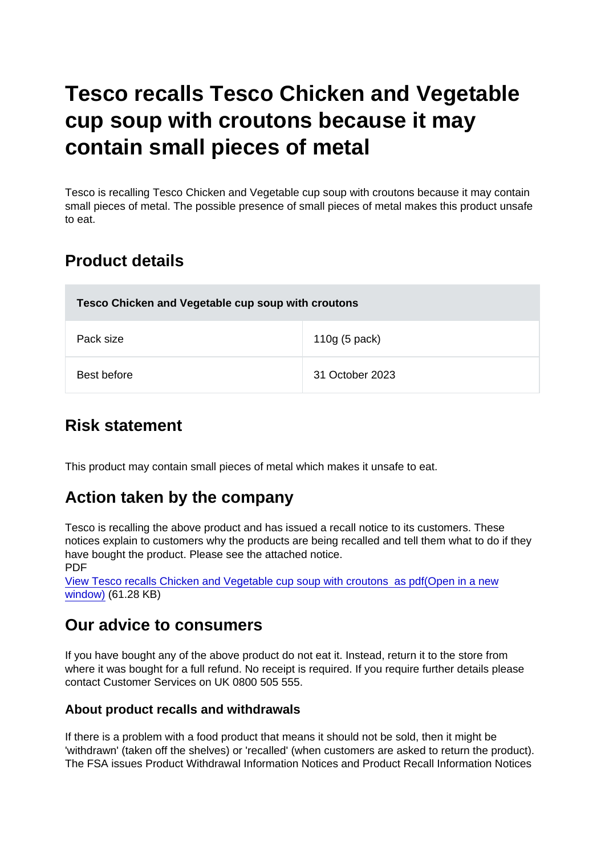# Tesco recalls Tesco Chicken and Vegetable cup soup with croutons because it may contain small pieces of metal

Tesco is recalling Tesco Chicken and Vegetable cup soup with croutons because it may contain small pieces of metal. The possible presence of small pieces of metal makes this product unsafe to eat.

## Product details

| Tesco Chicken and Vegetable cup soup with croutons |                 |
|----------------------------------------------------|-----------------|
| Pack size                                          | 110g (5 pack)   |
| Best before                                        | 31 October 2023 |

### Risk statement

This product may contain small pieces of metal which makes it unsafe to eat.

### Action taken by the company

Tesco is recalling the above product and has issued a recall notice to its customers. These notices explain to customers why the products are being recalled and tell them what to do if they have bought the product. Please see the attached notice. PDF

[View Tesco recalls Chicken and Vegetable cup soup with croutons as pdf\(Open in a new](https://s3-eu-west-1.amazonaws.com/fsa-alerts-files/production/FSA-PRIN-27-2022/CLEARED-FSA-PRIN-27-2022-Tesco-recalls-Chicken-and-Vegetable-cup-soup-with-croutons.pdf) [window\)](https://s3-eu-west-1.amazonaws.com/fsa-alerts-files/production/FSA-PRIN-27-2022/CLEARED-FSA-PRIN-27-2022-Tesco-recalls-Chicken-and-Vegetable-cup-soup-with-croutons.pdf) (61.28 KB)

#### Our advice to consumers

If you have bought any of the above product do not eat it. Instead, return it to the store from where it was bought for a full refund. No receipt is required. If you require further details please contact Customer Services on UK 0800 505 555.

#### About product recalls and withdrawals

If there is a problem with a food product that means it should not be sold, then it might be 'withdrawn' (taken off the shelves) or 'recalled' (when customers are asked to return the product). The FSA issues Product Withdrawal Information Notices and Product Recall Information Notices